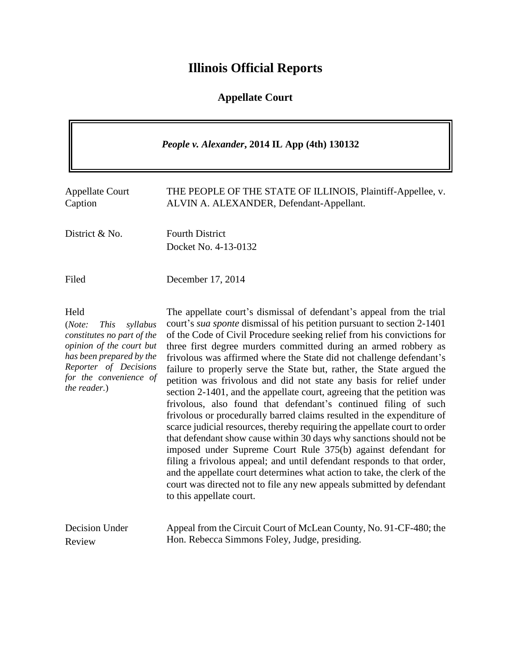# **Illinois Official Reports**

## **Appellate Court**

| People v. Alexander, 2014 IL App (4th) 130132                                                                                                                                                      |                                                                                                                                                                                                                                                                                                                                                                                                                                                                                                                                                                                                                                                                                                                                                                                                                                                                                                                                                                                                                                                                                                                                                                                                                                      |  |
|----------------------------------------------------------------------------------------------------------------------------------------------------------------------------------------------------|--------------------------------------------------------------------------------------------------------------------------------------------------------------------------------------------------------------------------------------------------------------------------------------------------------------------------------------------------------------------------------------------------------------------------------------------------------------------------------------------------------------------------------------------------------------------------------------------------------------------------------------------------------------------------------------------------------------------------------------------------------------------------------------------------------------------------------------------------------------------------------------------------------------------------------------------------------------------------------------------------------------------------------------------------------------------------------------------------------------------------------------------------------------------------------------------------------------------------------------|--|
| <b>Appellate Court</b><br>Caption                                                                                                                                                                  | THE PEOPLE OF THE STATE OF ILLINOIS, Plaintiff-Appellee, v.<br>ALVIN A. ALEXANDER, Defendant-Appellant.                                                                                                                                                                                                                                                                                                                                                                                                                                                                                                                                                                                                                                                                                                                                                                                                                                                                                                                                                                                                                                                                                                                              |  |
| District & No.                                                                                                                                                                                     | <b>Fourth District</b><br>Docket No. 4-13-0132                                                                                                                                                                                                                                                                                                                                                                                                                                                                                                                                                                                                                                                                                                                                                                                                                                                                                                                                                                                                                                                                                                                                                                                       |  |
| Filed                                                                                                                                                                                              | December 17, 2014                                                                                                                                                                                                                                                                                                                                                                                                                                                                                                                                                                                                                                                                                                                                                                                                                                                                                                                                                                                                                                                                                                                                                                                                                    |  |
| Held<br>(Note:<br><b>This</b><br>syllabus<br>constitutes no part of the<br>opinion of the court but<br>has been prepared by the<br>Reporter of Decisions<br>for the convenience of<br>the reader.) | The appellate court's dismissal of defendant's appeal from the trial<br>court's <i>sua sponte</i> dismissal of his petition pursuant to section 2-1401<br>of the Code of Civil Procedure seeking relief from his convictions for<br>three first degree murders committed during an armed robbery as<br>frivolous was affirmed where the State did not challenge defendant's<br>failure to properly serve the State but, rather, the State argued the<br>petition was frivolous and did not state any basis for relief under<br>section 2-1401, and the appellate court, agreeing that the petition was<br>frivolous, also found that defendant's continued filing of such<br>frivolous or procedurally barred claims resulted in the expenditure of<br>scarce judicial resources, thereby requiring the appellate court to order<br>that defendant show cause within 30 days why sanctions should not be<br>imposed under Supreme Court Rule 375(b) against defendant for<br>filing a frivolous appeal; and until defendant responds to that order,<br>and the appellate court determines what action to take, the clerk of the<br>court was directed not to file any new appeals submitted by defendant<br>to this appellate court. |  |
| <b>Decision Under</b><br>Review                                                                                                                                                                    | Appeal from the Circuit Court of McLean County, No. 91-CF-480; the<br>Hon. Rebecca Simmons Foley, Judge, presiding.                                                                                                                                                                                                                                                                                                                                                                                                                                                                                                                                                                                                                                                                                                                                                                                                                                                                                                                                                                                                                                                                                                                  |  |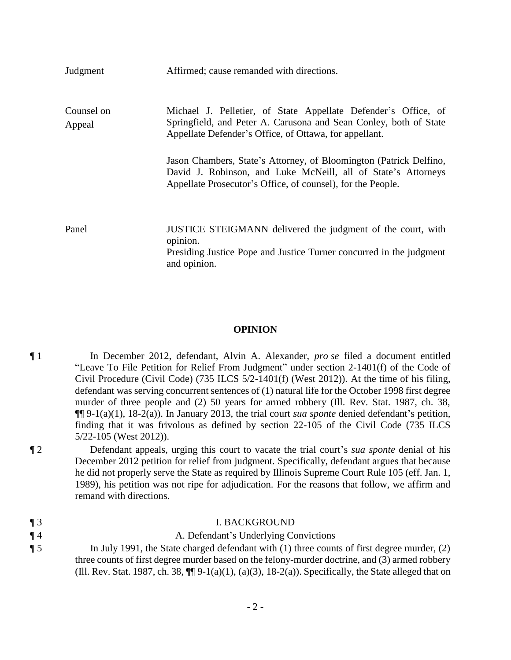| Judgment             | Affirmed; cause remanded with directions.                                                                                                                                                          |
|----------------------|----------------------------------------------------------------------------------------------------------------------------------------------------------------------------------------------------|
| Counsel on<br>Appeal | Michael J. Pelletier, of State Appellate Defender's Office, of<br>Springfield, and Peter A. Carusona and Sean Conley, both of State<br>Appellate Defender's Office, of Ottawa, for appellant.      |
|                      | Jason Chambers, State's Attorney, of Bloomington (Patrick Delfino,<br>David J. Robinson, and Luke McNeill, all of State's Attorneys<br>Appellate Prosecutor's Office, of counsel), for the People. |
| Panel                | JUSTICE STEIGMANN delivered the judgment of the court, with<br>opinion.<br>Presiding Justice Pope and Justice Turner concurred in the judgment<br>and opinion.                                     |

#### **OPINION**

¶ 1 In December 2012, defendant, Alvin A. Alexander, *pro se* filed a document entitled "Leave To File Petition for Relief From Judgment" under section 2-1401(f) of the Code of Civil Procedure (Civil Code) (735 ILCS 5/2-1401(f) (West 2012)). At the time of his filing, defendant was serving concurrent sentences of (1) natural life for the October 1998 first degree murder of three people and (2) 50 years for armed robbery (Ill. Rev. Stat. 1987, ch. 38, ¶¶ 9-1(a)(1), 18-2(a)). In January 2013, the trial court *sua sponte* denied defendant's petition, finding that it was frivolous as defined by section 22-105 of the Civil Code (735 ILCS 5/22-105 (West 2012)).

¶ 2 Defendant appeals, urging this court to vacate the trial court's *sua sponte* denial of his December 2012 petition for relief from judgment. Specifically, defendant argues that because he did not properly serve the State as required by Illinois Supreme Court Rule 105 (eff. Jan. 1, 1989), his petition was not ripe for adjudication. For the reasons that follow, we affirm and remand with directions.

| $\P_3$ | <b>I. BACKGROUND</b>                                                                                       |
|--------|------------------------------------------------------------------------------------------------------------|
| $\P$ 4 | A. Defendant's Underlying Convictions                                                                      |
| $\P$ 5 | In July 1991, the State charged defendant with $(1)$ three counts of first degree murder, $(2)$            |
|        | three counts of first degree murder based on the felony-murder doctrine, and (3) armed robbery             |
|        | (Ill. Rev. Stat. 1987, ch. 38, $\P$ ] 9-1(a)(1), (a)(3), 18-2(a)). Specifically, the State alleged that on |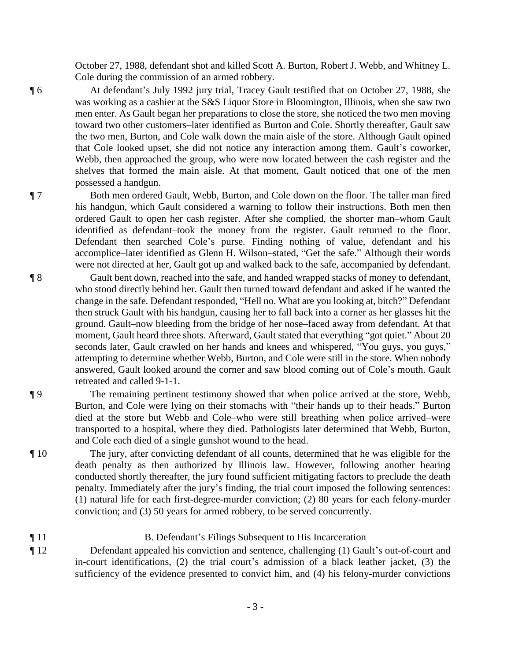October 27, 1988, defendant shot and killed Scott A. Burton, Robert J. Webb, and Whitney L. Cole during the commission of an armed robbery.

¶ 6 At defendant's July 1992 jury trial, Tracey Gault testified that on October 27, 1988, she was working as a cashier at the S&S Liquor Store in Bloomington, Illinois, when she saw two men enter. As Gault began her preparations to close the store, she noticed the two men moving toward two other customers–later identified as Burton and Cole. Shortly thereafter, Gault saw the two men, Burton, and Cole walk down the main aisle of the store. Although Gault opined that Cole looked upset, she did not notice any interaction among them. Gault's coworker, Webb, then approached the group, who were now located between the cash register and the shelves that formed the main aisle. At that moment, Gault noticed that one of the men possessed a handgun.

¶ 7 Both men ordered Gault, Webb, Burton, and Cole down on the floor. The taller man fired his handgun, which Gault considered a warning to follow their instructions. Both men then ordered Gault to open her cash register. After she complied, the shorter man–whom Gault identified as defendant–took the money from the register. Gault returned to the floor. Defendant then searched Cole's purse. Finding nothing of value, defendant and his accomplice–later identified as Glenn H. Wilson–stated, "Get the safe." Although their words were not directed at her, Gault got up and walked back to the safe, accompanied by defendant.

- ¶ 8 Gault bent down, reached into the safe, and handed wrapped stacks of money to defendant, who stood directly behind her. Gault then turned toward defendant and asked if he wanted the change in the safe. Defendant responded, "Hell no. What are you looking at, bitch?" Defendant then struck Gault with his handgun, causing her to fall back into a corner as her glasses hit the ground. Gault–now bleeding from the bridge of her nose–faced away from defendant. At that moment, Gault heard three shots. Afterward, Gault stated that everything "got quiet." About 20 seconds later, Gault crawled on her hands and knees and whispered, "You guys, you guys," attempting to determine whether Webb, Burton, and Cole were still in the store. When nobody answered, Gault looked around the corner and saw blood coming out of Cole's mouth. Gault retreated and called 9-1-1.
- 

¶ 9 The remaining pertinent testimony showed that when police arrived at the store, Webb, Burton, and Cole were lying on their stomachs with "their hands up to their heads." Burton died at the store but Webb and Cole–who were still breathing when police arrived–were transported to a hospital, where they died. Pathologists later determined that Webb, Burton, and Cole each died of a single gunshot wound to the head.

¶ 10 The jury, after convicting defendant of all counts, determined that he was eligible for the death penalty as then authorized by Illinois law. However, following another hearing conducted shortly thereafter, the jury found sufficient mitigating factors to preclude the death penalty. Immediately after the jury's finding, the trial court imposed the following sentences: (1) natural life for each first-degree-murder conviction; (2) 80 years for each felony-murder conviction; and (3) 50 years for armed robbery, to be served concurrently.

### ¶ 11 B. Defendant's Filings Subsequent to His Incarceration

¶ 12 Defendant appealed his conviction and sentence, challenging (1) Gault's out-of-court and in-court identifications, (2) the trial court's admission of a black leather jacket, (3) the sufficiency of the evidence presented to convict him, and (4) his felony-murder convictions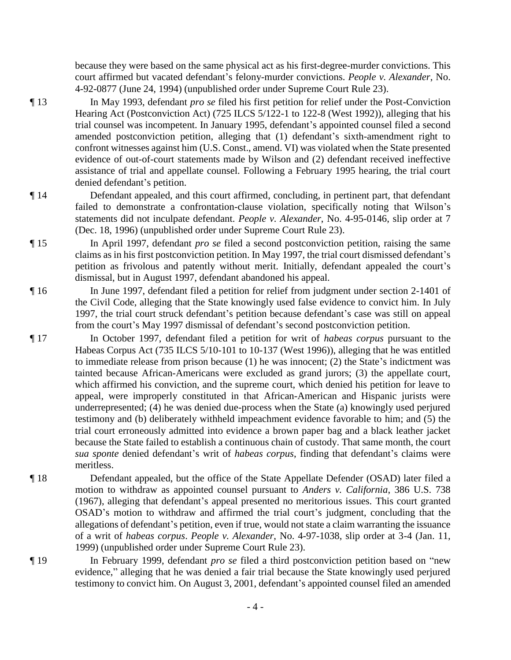because they were based on the same physical act as his first-degree-murder convictions. This court affirmed but vacated defendant's felony-murder convictions. *People v. Alexander*, No. 4-92-0877 (June 24, 1994) (unpublished order under Supreme Court Rule 23).

- ¶ 13 In May 1993, defendant *pro se* filed his first petition for relief under the Post-Conviction Hearing Act (Postconviction Act) (725 ILCS 5/122-1 to 122-8 (West 1992)), alleging that his trial counsel was incompetent. In January 1995, defendant's appointed counsel filed a second amended postconviction petition, alleging that (1) defendant's sixth-amendment right to confront witnesses against him (U.S. Const., amend. VI) was violated when the State presented evidence of out-of-court statements made by Wilson and (2) defendant received ineffective assistance of trial and appellate counsel. Following a February 1995 hearing, the trial court denied defendant's petition.
- ¶ 14 Defendant appealed, and this court affirmed, concluding, in pertinent part, that defendant failed to demonstrate a confrontation-clause violation, specifically noting that Wilson's statements did not inculpate defendant. *People v. Alexander*, No. 4-95-0146, slip order at 7 (Dec. 18, 1996) (unpublished order under Supreme Court Rule 23).
- ¶ 15 In April 1997, defendant *pro se* filed a second postconviction petition, raising the same claims as in his first postconviction petition. In May 1997, the trial court dismissed defendant's petition as frivolous and patently without merit. Initially, defendant appealed the court's dismissal, but in August 1997, defendant abandoned his appeal.
- ¶ 16 In June 1997, defendant filed a petition for relief from judgment under section 2-1401 of the Civil Code, alleging that the State knowingly used false evidence to convict him. In July 1997, the trial court struck defendant's petition because defendant's case was still on appeal from the court's May 1997 dismissal of defendant's second postconviction petition.
- ¶ 17 In October 1997, defendant filed a petition for writ of *habeas corpus* pursuant to the Habeas Corpus Act (735 ILCS 5/10-101 to 10-137 (West 1996)), alleging that he was entitled to immediate release from prison because (1) he was innocent; (2) the State's indictment was tainted because African-Americans were excluded as grand jurors; (3) the appellate court, which affirmed his conviction, and the supreme court, which denied his petition for leave to appeal, were improperly constituted in that African-American and Hispanic jurists were underrepresented; (4) he was denied due-process when the State (a) knowingly used perjured testimony and (b) deliberately withheld impeachment evidence favorable to him; and (5) the trial court erroneously admitted into evidence a brown paper bag and a black leather jacket because the State failed to establish a continuous chain of custody. That same month, the court *sua sponte* denied defendant's writ of *habeas corpus*, finding that defendant's claims were meritless.
- ¶ 18 Defendant appealed, but the office of the State Appellate Defender (OSAD) later filed a motion to withdraw as appointed counsel pursuant to *Anders v. California*, 386 U.S. 738 (1967), alleging that defendant's appeal presented no meritorious issues. This court granted OSAD's motion to withdraw and affirmed the trial court's judgment, concluding that the allegations of defendant's petition, even if true, would not state a claim warranting the issuance of a writ of *habeas corpus*. *People v. Alexander*, No. 4-97-1038, slip order at 3-4 (Jan. 11, 1999) (unpublished order under Supreme Court Rule 23).
- 

¶ 19 In February 1999, defendant *pro se* filed a third postconviction petition based on "new evidence," alleging that he was denied a fair trial because the State knowingly used perjured testimony to convict him. On August 3, 2001, defendant's appointed counsel filed an amended

- 4 -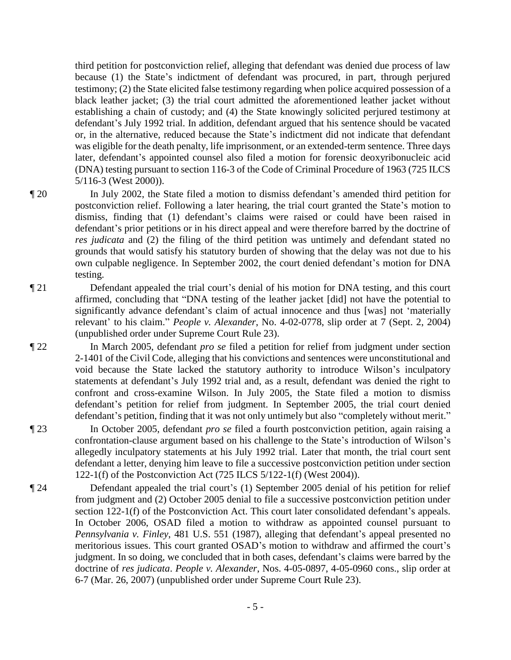third petition for postconviction relief, alleging that defendant was denied due process of law because (1) the State's indictment of defendant was procured, in part, through perjured testimony; (2) the State elicited false testimony regarding when police acquired possession of a black leather jacket; (3) the trial court admitted the aforementioned leather jacket without establishing a chain of custody; and (4) the State knowingly solicited perjured testimony at defendant's July 1992 trial. In addition, defendant argued that his sentence should be vacated or, in the alternative, reduced because the State's indictment did not indicate that defendant was eligible for the death penalty, life imprisonment, or an extended-term sentence. Three days later, defendant's appointed counsel also filed a motion for forensic deoxyribonucleic acid (DNA) testing pursuant to section 116-3 of the Code of Criminal Procedure of 1963 (725 ILCS 5/116-3 (West 2000)).

¶ 20 In July 2002, the State filed a motion to dismiss defendant's amended third petition for postconviction relief. Following a later hearing, the trial court granted the State's motion to dismiss, finding that (1) defendant's claims were raised or could have been raised in defendant's prior petitions or in his direct appeal and were therefore barred by the doctrine of *res judicata* and (2) the filing of the third petition was untimely and defendant stated no grounds that would satisfy his statutory burden of showing that the delay was not due to his own culpable negligence. In September 2002, the court denied defendant's motion for DNA testing.

¶ 21 Defendant appealed the trial court's denial of his motion for DNA testing, and this court affirmed, concluding that "DNA testing of the leather jacket [did] not have the potential to significantly advance defendant's claim of actual innocence and thus [was] not 'materially relevant' to his claim." *People v. Alexander*, No. 4-02-0778, slip order at 7 (Sept. 2, 2004) (unpublished order under Supreme Court Rule 23).

¶ 22 In March 2005, defendant *pro se* filed a petition for relief from judgment under section 2-1401 of the Civil Code, alleging that his convictions and sentences were unconstitutional and void because the State lacked the statutory authority to introduce Wilson's inculpatory statements at defendant's July 1992 trial and, as a result, defendant was denied the right to confront and cross-examine Wilson. In July 2005, the State filed a motion to dismiss defendant's petition for relief from judgment. In September 2005, the trial court denied defendant's petition, finding that it was not only untimely but also "completely without merit."

¶ 23 In October 2005, defendant *pro se* filed a fourth postconviction petition, again raising a confrontation-clause argument based on his challenge to the State's introduction of Wilson's allegedly inculpatory statements at his July 1992 trial. Later that month, the trial court sent defendant a letter, denying him leave to file a successive postconviction petition under section 122-1(f) of the Postconviction Act (725 ILCS 5/122-1(f) (West 2004)).

¶ 24 Defendant appealed the trial court's (1) September 2005 denial of his petition for relief from judgment and (2) October 2005 denial to file a successive postconviction petition under section 122-1(f) of the Postconviction Act. This court later consolidated defendant's appeals. In October 2006, OSAD filed a motion to withdraw as appointed counsel pursuant to *Pennsylvania v. Finley*, 481 U.S. 551 (1987), alleging that defendant's appeal presented no meritorious issues. This court granted OSAD's motion to withdraw and affirmed the court's judgment. In so doing, we concluded that in both cases, defendant's claims were barred by the doctrine of *res judicata*. *People v. Alexander*, Nos. 4-05-0897, 4-05-0960 cons., slip order at 6-7 (Mar. 26, 2007) (unpublished order under Supreme Court Rule 23).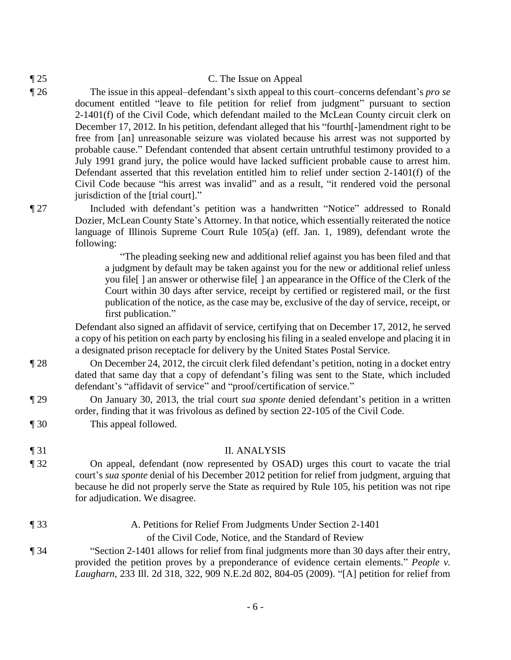#### ¶ 25 C. The Issue on Appeal

- ¶ 26 The issue in this appeal–defendant's sixth appeal to this court–concerns defendant's *pro se* document entitled "leave to file petition for relief from judgment" pursuant to section 2-1401(f) of the Civil Code, which defendant mailed to the McLean County circuit clerk on December 17, 2012. In his petition, defendant alleged that his "fourth[-]amendment right to be free from [an] unreasonable seizure was violated because his arrest was not supported by probable cause." Defendant contended that absent certain untruthful testimony provided to a July 1991 grand jury, the police would have lacked sufficient probable cause to arrest him. Defendant asserted that this revelation entitled him to relief under section 2-1401(f) of the Civil Code because "his arrest was invalid" and as a result, "it rendered void the personal jurisdiction of the [trial court]."
	-

¶ 27 Included with defendant's petition was a handwritten "Notice" addressed to Ronald Dozier, McLean County State's Attorney. In that notice, which essentially reiterated the notice language of Illinois Supreme Court Rule 105(a) (eff. Jan. 1, 1989), defendant wrote the following:

> "The pleading seeking new and additional relief against you has been filed and that a judgment by default may be taken against you for the new or additional relief unless you file[ ] an answer or otherwise file[ ] an appearance in the Office of the Clerk of the Court within 30 days after service, receipt by certified or registered mail, or the first publication of the notice, as the case may be, exclusive of the day of service, receipt, or first publication."

Defendant also signed an affidavit of service, certifying that on December 17, 2012, he served a copy of his petition on each party by enclosing his filing in a sealed envelope and placing it in a designated prison receptacle for delivery by the United States Postal Service.

- ¶ 28 On December 24, 2012, the circuit clerk filed defendant's petition, noting in a docket entry dated that same day that a copy of defendant's filing was sent to the State, which included defendant's "affidavit of service" and "proof/certification of service."
- ¶ 29 On January 30, 2013, the trial court *sua sponte* denied defendant's petition in a written order, finding that it was frivolous as defined by section 22-105 of the Civil Code.
- ¶ 30 This appeal followed.

#### ¶ 31 II. ANALYSIS

- ¶ 32 On appeal, defendant (now represented by OSAD) urges this court to vacate the trial court's *sua sponte* denial of his December 2012 petition for relief from judgment, arguing that because he did not properly serve the State as required by Rule 105, his petition was not ripe for adjudication. We disagree.
- ¶ 33 A. Petitions for Relief From Judgments Under Section 2-1401

of the Civil Code, Notice, and the Standard of Review

¶ 34 "Section 2-1401 allows for relief from final judgments more than 30 days after their entry, provided the petition proves by a preponderance of evidence certain elements." *People v. Laugharn*, 233 Ill. 2d 318, 322, 909 N.E.2d 802, 804-05 (2009). "[A] petition for relief from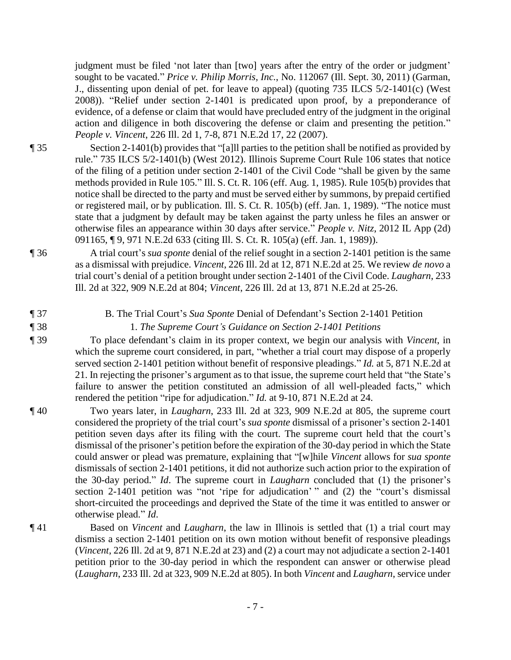judgment must be filed 'not later than [two] years after the entry of the order or judgment' sought to be vacated." *Price v. Philip Morris, Inc.*, No. 112067 (Ill. Sept. 30, 2011) (Garman, J., dissenting upon denial of pet. for leave to appeal) (quoting 735 ILCS 5/2-1401(c) (West 2008)). "Relief under section 2-1401 is predicated upon proof, by a preponderance of evidence, of a defense or claim that would have precluded entry of the judgment in the original action and diligence in both discovering the defense or claim and presenting the petition." *People v. Vincent*, 226 Ill. 2d 1, 7-8, 871 N.E.2d 17, 22 (2007).

¶ 35 Section 2-1401(b) provides that "[a]ll parties to the petition shall be notified as provided by rule." 735 ILCS 5/2-1401(b) (West 2012). Illinois Supreme Court Rule 106 states that notice of the filing of a petition under section 2-1401 of the Civil Code "shall be given by the same methods provided in Rule 105." Ill. S. Ct. R. 106 (eff. Aug. 1, 1985). Rule 105(b) provides that notice shall be directed to the party and must be served either by summons, by prepaid certified or registered mail, or by publication. Ill. S. Ct. R. 105(b) (eff. Jan. 1, 1989). "The notice must state that a judgment by default may be taken against the party unless he files an answer or otherwise files an appearance within 30 days after service." *People v. Nitz*, 2012 IL App (2d) 091165, ¶ 9, 971 N.E.2d 633 (citing Ill. S. Ct. R. 105(a) (eff. Jan. 1, 1989)).

¶ 36 A trial court's *sua sponte* denial of the relief sought in a section 2-1401 petition is the same as a dismissal with prejudice. *Vincent*, 226 Ill. 2d at 12, 871 N.E.2d at 25. We review *de novo* a trial court's denial of a petition brought under section 2-1401 of the Civil Code. *Laugharn*, 233 Ill. 2d at 322, 909 N.E.2d at 804; *Vincent*, 226 Ill. 2d at 13, 871 N.E.2d at 25-26.

- 
- 

¶ 37 B. The Trial Court's *Sua Sponte* Denial of Defendant's Section 2-1401 Petition

¶ 38 1. *The Supreme Court's Guidance on Section 2-1401 Petitions*

¶ 39 To place defendant's claim in its proper context, we begin our analysis with *Vincent*, in which the supreme court considered, in part, "whether a trial court may dispose of a properly served section 2-1401 petition without benefit of responsive pleadings." *Id.* at 5, 871 N.E.2d at 21. In rejecting the prisoner's argument as to that issue, the supreme court held that "the State's failure to answer the petition constituted an admission of all well-pleaded facts," which rendered the petition "ripe for adjudication." *Id.* at 9-10, 871 N.E.2d at 24.

¶ 40 Two years later, in *Laugharn*, 233 Ill. 2d at 323, 909 N.E.2d at 805, the supreme court considered the propriety of the trial court's *sua sponte* dismissal of a prisoner's section 2-1401 petition seven days after its filing with the court. The supreme court held that the court's dismissal of the prisoner's petition before the expiration of the 30-day period in which the State could answer or plead was premature, explaining that "[w]hile *Vincent* allows for *sua sponte* dismissals of section 2-1401 petitions, it did not authorize such action prior to the expiration of the 30-day period." *Id*. The supreme court in *Laugharn* concluded that (1) the prisoner's section 2-1401 petition was "not 'ripe for adjudication' " and (2) the "court's dismissal short-circuited the proceedings and deprived the State of the time it was entitled to answer or otherwise plead." *Id*.

¶ 41 Based on *Vincent* and *Laugharn*, the law in Illinois is settled that (1) a trial court may dismiss a section 2-1401 petition on its own motion without benefit of responsive pleadings (*Vincent*, 226 Ill. 2d at 9, 871 N.E.2d at 23) and (2) a court may not adjudicate a section 2-1401 petition prior to the 30-day period in which the respondent can answer or otherwise plead (*Laugharn*, 233 Ill. 2d at 323, 909 N.E.2d at 805). In both *Vincent* and *Laugharn*, service under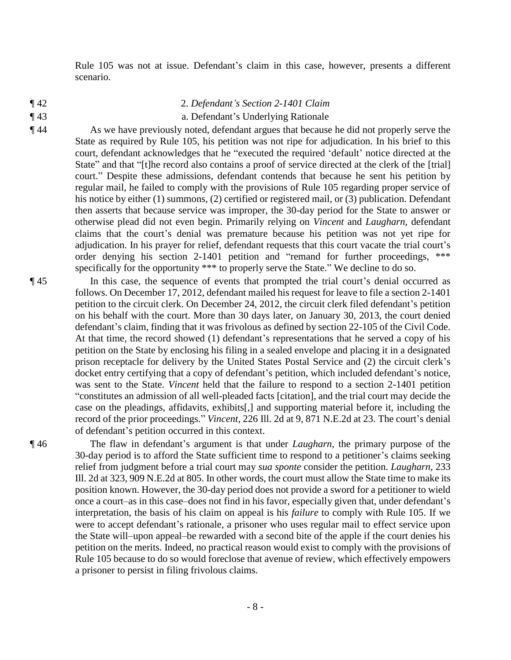Rule 105 was not at issue. Defendant's claim in this case, however, presents a different scenario.

- 
- 

#### ¶ 42 2. *Defendant's Section 2-1401 Claim*

#### ¶ 43 a. Defendant's Underlying Rationale

¶ 44 As we have previously noted, defendant argues that because he did not properly serve the State as required by Rule 105, his petition was not ripe for adjudication. In his brief to this court, defendant acknowledges that he "executed the required 'default' notice directed at the State" and that "[t]he record also contains a proof of service directed at the clerk of the [trial] court." Despite these admissions, defendant contends that because he sent his petition by regular mail, he failed to comply with the provisions of Rule 105 regarding proper service of his notice by either (1) summons, (2) certified or registered mail, or (3) publication. Defendant then asserts that because service was improper, the 30-day period for the State to answer or otherwise plead did not even begin. Primarily relying on *Vincent* and *Laugharn*, defendant claims that the court's denial was premature because his petition was not yet ripe for adjudication. In his prayer for relief, defendant requests that this court vacate the trial court's order denying his section 2-1401 petition and "remand for further proceedings, \*\*\* specifically for the opportunity \*\*\* to properly serve the State." We decline to do so.

¶ 45 In this case, the sequence of events that prompted the trial court's denial occurred as follows. On December 17, 2012, defendant mailed his request for leave to file a section 2-1401 petition to the circuit clerk. On December 24, 2012, the circuit clerk filed defendant's petition on his behalf with the court. More than 30 days later, on January 30, 2013, the court denied defendant's claim, finding that it was frivolous as defined by section 22-105 of the Civil Code. At that time, the record showed (1) defendant's representations that he served a copy of his petition on the State by enclosing his filing in a sealed envelope and placing it in a designated prison receptacle for delivery by the United States Postal Service and (2) the circuit clerk's docket entry certifying that a copy of defendant's petition, which included defendant's notice, was sent to the State. *Vincent* held that the failure to respond to a section 2-1401 petition "constitutes an admission of all well-pleaded facts [citation], and the trial court may decide the case on the pleadings, affidavits, exhibits[,] and supporting material before it, including the record of the prior proceedings." *Vincent*, 226 Ill. 2d at 9, 871 N.E.2d at 23. The court's denial of defendant's petition occurred in this context.

¶ 46 The flaw in defendant's argument is that under *Laugharn*, the primary purpose of the 30-day period is to afford the State sufficient time to respond to a petitioner's claims seeking relief from judgment before a trial court may *sua sponte* consider the petition. *Laugharn*, 233 Ill. 2d at 323, 909 N.E.2d at 805. In other words, the court must allow the State time to make its position known. However, the 30-day period does not provide a sword for a petitioner to wield once a court–as in this case–does not find in his favor, especially given that, under defendant's interpretation, the basis of his claim on appeal is his *failure* to comply with Rule 105. If we were to accept defendant's rationale, a prisoner who uses regular mail to effect service upon the State will–upon appeal–be rewarded with a second bite of the apple if the court denies his petition on the merits. Indeed, no practical reason would exist to comply with the provisions of Rule 105 because to do so would foreclose that avenue of review, which effectively empowers a prisoner to persist in filing frivolous claims.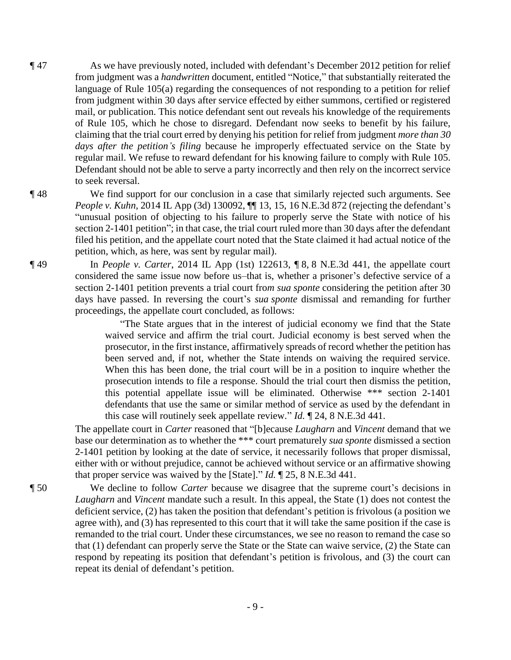¶ 47 As we have previously noted, included with defendant's December 2012 petition for relief from judgment was a *handwritten* document, entitled "Notice," that substantially reiterated the language of Rule 105(a) regarding the consequences of not responding to a petition for relief from judgment within 30 days after service effected by either summons, certified or registered mail, or publication. This notice defendant sent out reveals his knowledge of the requirements of Rule 105, which he chose to disregard. Defendant now seeks to benefit by his failure, claiming that the trial court erred by denying his petition for relief from judgment *more than 30 days after the petition's filing* because he improperly effectuated service on the State by regular mail. We refuse to reward defendant for his knowing failure to comply with Rule 105. Defendant should not be able to serve a party incorrectly and then rely on the incorrect service to seek reversal.

#### ¶ 48 We find support for our conclusion in a case that similarly rejected such arguments. See

*People v. Kuhn*, 2014 IL App (3d) 130092, **[1]** 13, 15, 16 N.E.3d 872 (rejecting the defendant's "unusual position of objecting to his failure to properly serve the State with notice of his section 2-1401 petition"; in that case, the trial court ruled more than 30 days after the defendant filed his petition, and the appellate court noted that the State claimed it had actual notice of the petition, which, as here, was sent by regular mail).

¶ 49 In *People v. Carter*, 2014 IL App (1st) 122613, ¶ 8, 8 N.E.3d 441, the appellate court considered the same issue now before us–that is, whether a prisoner's defective service of a section 2-1401 petition prevents a trial court fro*m sua sponte* considering the petition after 30 days have passed. In reversing the court's *sua sponte* dismissal and remanding for further proceedings, the appellate court concluded, as follows:

> "The State argues that in the interest of judicial economy we find that the State waived service and affirm the trial court. Judicial economy is best served when the prosecutor, in the first instance, affirmatively spreads of record whether the petition has been served and, if not, whether the State intends on waiving the required service. When this has been done, the trial court will be in a position to inquire whether the prosecution intends to file a response. Should the trial court then dismiss the petition, this potential appellate issue will be eliminated. Otherwise \*\*\* section 2-1401 defendants that use the same or similar method of service as used by the defendant in this case will routinely seek appellate review." *Id.* ¶ 24, 8 N.E.3d 441.

The appellate court in *Carter* reasoned that "[b]ecause *Laugharn* and *Vincent* demand that we base our determination as to whether the \*\*\* court prematurely *sua sponte* dismissed a section 2-1401 petition by looking at the date of service, it necessarily follows that proper dismissal, either with or without prejudice, cannot be achieved without service or an affirmative showing that proper service was waived by the [State]." *Id.* ¶ 25, 8 N.E.3d 441.

¶ 50 We decline to follow *Carter* because we disagree that the supreme court's decisions in *Laugharn* and *Vincent* mandate such a result. In this appeal, the State (1) does not contest the deficient service, (2) has taken the position that defendant's petition is frivolous (a position we agree with), and (3) has represented to this court that it will take the same position if the case is remanded to the trial court. Under these circumstances, we see no reason to remand the case so that (1) defendant can properly serve the State or the State can waive service, (2) the State can respond by repeating its position that defendant's petition is frivolous, and (3) the court can repeat its denial of defendant's petition.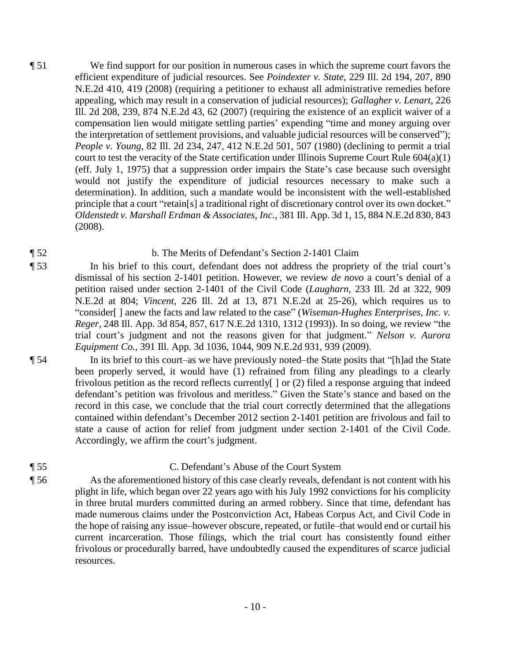¶ 51 We find support for our position in numerous cases in which the supreme court favors the efficient expenditure of judicial resources. See *Poindexter v. State*, 229 Ill. 2d 194, 207, 890 N.E.2d 410, 419 (2008) (requiring a petitioner to exhaust all administrative remedies before appealing, which may result in a conservation of judicial resources); *Gallagher v. Lenart*, 226 Ill. 2d 208, 239, 874 N.E.2d 43, 62 (2007) (requiring the existence of an explicit waiver of a compensation lien would mitigate settling parties' expending "time and money arguing over the interpretation of settlement provisions, and valuable judicial resources will be conserved"); *People v. Young*, 82 Ill. 2d 234, 247, 412 N.E.2d 501, 507 (1980) (declining to permit a trial court to test the veracity of the State certification under Illinois Supreme Court Rule 604(a)(1) (eff. July 1, 1975) that a suppression order impairs the State's case because such oversight would not justify the expenditure of judicial resources necessary to make such a determination). In addition, such a mandate would be inconsistent with the well-established principle that a court "retain[s] a traditional right of discretionary control over its own docket." *Oldenstedt v. Marshall Erdman & Associates, Inc.*, 381 Ill. App. 3d 1, 15, 884 N.E.2d 830, 843 (2008).

### ¶ 52 b. The Merits of Defendant's Section 2-1401 Claim

- ¶ 53 In his brief to this court, defendant does not address the propriety of the trial court's dismissal of his section 2-1401 petition. However, we review *de novo* a court's denial of a petition raised under section 2-1401 of the Civil Code (*Laugharn*, 233 Ill. 2d at 322, 909 N.E.2d at 804; *Vincent*, 226 Ill. 2d at 13, 871 N.E.2d at 25-26), which requires us to "consider[ ] anew the facts and law related to the case" (*Wiseman-Hughes Enterprises, Inc. v. Reger*, 248 Ill. App. 3d 854, 857, 617 N.E.2d 1310, 1312 (1993)). In so doing, we review "the trial court's judgment and not the reasons given for that judgment." *Nelson v. Aurora Equipment Co.*, 391 Ill. App. 3d 1036, 1044, 909 N.E.2d 931, 939 (2009).
- ¶ 54 In its brief to this court–as we have previously noted–the State posits that "[h]ad the State been properly served, it would have (1) refrained from filing any pleadings to a clearly frivolous petition as the record reflects currently[ ] or (2) filed a response arguing that indeed defendant's petition was frivolous and meritless." Given the State's stance and based on the record in this case, we conclude that the trial court correctly determined that the allegations contained within defendant's December 2012 section 2-1401 petition are frivolous and fail to state a cause of action for relief from judgment under section 2-1401 of the Civil Code. Accordingly, we affirm the court's judgment.

#### ¶ 55 C. Defendant's Abuse of the Court System

¶ 56 As the aforementioned history of this case clearly reveals, defendant is not content with his plight in life, which began over 22 years ago with his July 1992 convictions for his complicity in three brutal murders committed during an armed robbery. Since that time, defendant has made numerous claims under the Postconviction Act, Habeas Corpus Act, and Civil Code in the hope of raising any issue–however obscure, repeated, or futile–that would end or curtail his current incarceration. Those filings, which the trial court has consistently found either frivolous or procedurally barred, have undoubtedly caused the expenditures of scarce judicial resources.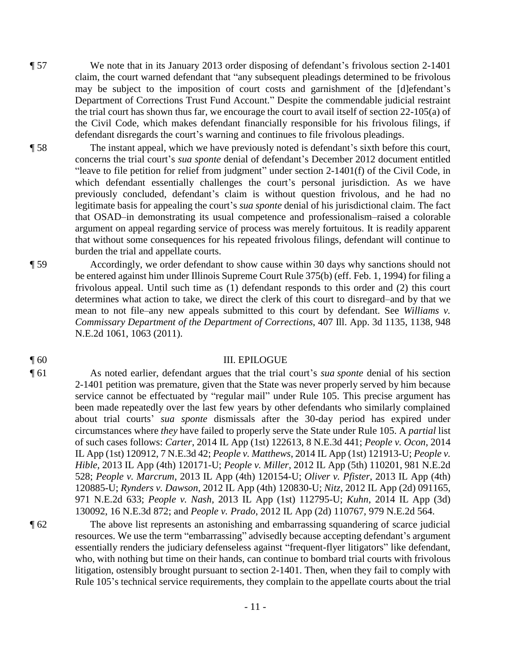- ¶ 57 We note that in its January 2013 order disposing of defendant's frivolous section 2-1401 claim, the court warned defendant that "any subsequent pleadings determined to be frivolous may be subject to the imposition of court costs and garnishment of the [d]efendant's Department of Corrections Trust Fund Account." Despite the commendable judicial restraint the trial court has shown thus far, we encourage the court to avail itself of section 22-105(a) of the Civil Code, which makes defendant financially responsible for his frivolous filings, if defendant disregards the court's warning and continues to file frivolous pleadings.
- ¶ 58 The instant appeal, which we have previously noted is defendant's sixth before this court, concerns the trial court's *sua sponte* denial of defendant's December 2012 document entitled "leave to file petition for relief from judgment" under section 2-1401(f) of the Civil Code, in which defendant essentially challenges the court's personal jurisdiction. As we have previously concluded, defendant's claim is without question frivolous, and he had no legitimate basis for appealing the court's *sua sponte* denial of his jurisdictional claim. The fact that OSAD–in demonstrating its usual competence and professionalism–raised a colorable argument on appeal regarding service of process was merely fortuitous. It is readily apparent that without some consequences for his repeated frivolous filings, defendant will continue to burden the trial and appellate courts.
- ¶ 59 Accordingly, we order defendant to show cause within 30 days why sanctions should not be entered against him under Illinois Supreme Court Rule 375(b) (eff. Feb. 1, 1994) for filing a frivolous appeal. Until such time as (1) defendant responds to this order and (2) this court determines what action to take, we direct the clerk of this court to disregard–and by that we mean to not file–any new appeals submitted to this court by defendant. See *Williams v. Commissary Department of the Department of Corrections*, 407 Ill. App. 3d 1135, 1138, 948 N.E.2d 1061, 1063 (2011).

#### ¶ 60 III. EPILOGUE

¶ 61 As noted earlier, defendant argues that the trial court's *sua sponte* denial of his section 2-1401 petition was premature, given that the State was never properly served by him because service cannot be effectuated by "regular mail" under Rule 105. This precise argument has been made repeatedly over the last few years by other defendants who similarly complained about trial courts' *sua sponte* dismissals after the 30-day period has expired under circumstances where *they* have failed to properly serve the State under Rule 105. A *partial* list of such cases follows: *Carter*, 2014 IL App (1st) 122613, 8 N.E.3d 441; *People v. Ocon*, 2014 IL App (1st) 120912, 7 N.E.3d 42; *People v. Matthews*, 2014 IL App (1st) 121913-U; *People v. Hible*, 2013 IL App (4th) 120171-U; *People v. Miller*, 2012 IL App (5th) 110201, 981 N.E.2d 528; *People v. Marcrum*, 2013 IL App (4th) 120154-U; *Oliver v. Pfister*, 2013 IL App (4th) 120885-U; *Rynders v. Dawson*, 2012 IL App (4th) 120830-U; *Nitz*, 2012 IL App (2d) 091165, 971 N.E.2d 633; *People v. Nash*, 2013 IL App (1st) 112795-U; *Kuhn*, 2014 IL App (3d) 130092, 16 N.E.3d 872; and *People v. Prado*, 2012 IL App (2d) 110767, 979 N.E.2d 564.

¶ 62 The above list represents an astonishing and embarrassing squandering of scarce judicial resources. We use the term "embarrassing" advisedly because accepting defendant's argument essentially renders the judiciary defenseless against "frequent-flyer litigators" like defendant, who, with nothing but time on their hands, can continue to bombard trial courts with frivolous litigation, ostensibly brought pursuant to section 2-1401. Then, when they fail to comply with Rule 105's technical service requirements, they complain to the appellate courts about the trial

- 11 -